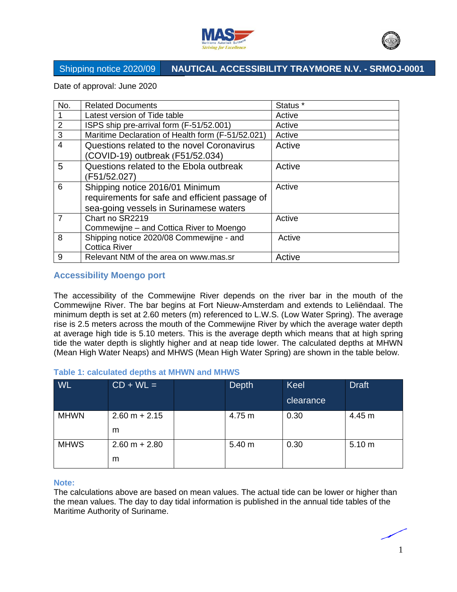



Date of approval: June 2020

| No.            | <b>Related Documents</b>                                                                                                    | Status <sup>*</sup> |
|----------------|-----------------------------------------------------------------------------------------------------------------------------|---------------------|
|                | Latest version of Tide table                                                                                                | Active              |
| 2              | ISPS ship pre-arrival form (F-51/52.001)                                                                                    | Active              |
| 3              | Maritime Declaration of Health form (F-51/52.021)                                                                           | Active              |
| $\overline{4}$ | Questions related to the novel Coronavirus<br>(COVID-19) outbreak (F51/52.034)                                              | Active              |
| 5              | Questions related to the Ebola outbreak<br>(F51/52.027)                                                                     | Active              |
| 6              | Shipping notice 2016/01 Minimum<br>requirements for safe and efficient passage of<br>sea-going vessels in Surinamese waters | Active              |
| $\overline{7}$ | Chart no SR2219<br>Commewijne - and Cottica River to Moengo                                                                 | Active              |
| 8              | Shipping notice 2020/08 Commewijne - and<br><b>Cottica River</b>                                                            | Active              |
| 9              | Relevant NtM of the area on www.mas.sr                                                                                      | Active              |

### **Accessibility Moengo port**

The accessibility of the Commewijne River depends on the river bar in the mouth of the Commewijne River. The bar begins at Fort Nieuw-Amsterdam and extends to Leliëndaal. The minimum depth is set at 2.60 meters (m) referenced to L.W.S. (Low Water Spring). The average rise is 2.5 meters across the mouth of the Commewijne River by which the average water depth at average high tide is 5.10 meters. This is the average depth which means that at high spring tide the water depth is slightly higher and at neap tide lower. The calculated depths at MHWN (Mean High Water Neaps) and MHWS (Mean High Water Spring) are shown in the table below.

#### **Table 1: calculated depths at MHWN and MHWS**

| <b>WL</b>   | $CD + WL =$          | <b>Depth</b> | Keel<br>clearance | <b>Draft</b> |
|-------------|----------------------|--------------|-------------------|--------------|
| <b>MHWN</b> | $2.60 m + 2.15$<br>m | 4.75 m       | 0.30              | 4.45 m       |
| <b>MHWS</b> | $2.60 m + 2.80$<br>m | 5.40 m       | 0.30              | 5.10 m       |

#### **Note:**

The calculations above are based on mean values. The actual tide can be lower or higher than the mean values. The day to day tidal information is published in the annual tide tables of the Maritime Authority of Suriname.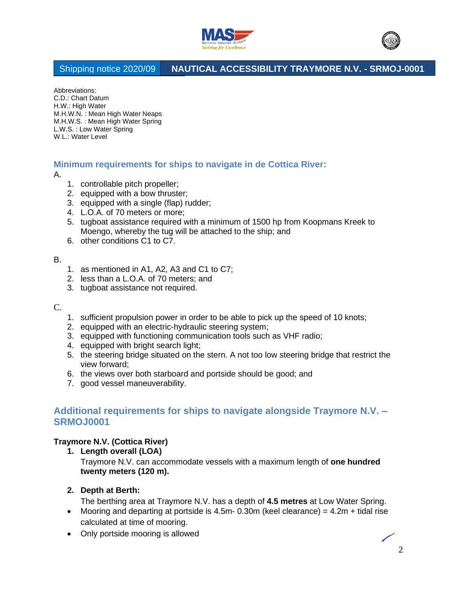



Abbreviations: C.D.: Chart Datum H.W.: High Water M.H.W.N. : Mean High Water Neaps M.H.W.S. : Mean High Water Spring L.W.S. : Low Water Spring W.L.: Water Level

### **Minimum requirements for ships to navigate in de Cottica River:**

A.

- 1. controllable pitch propeller;
- 2. equipped with a bow thruster;
- 3. equipped with a single (flap) rudder;
- 4. L.O.A. of 70 meters or more;
- 5. tugboat assistance required with a minimum of 1500 hp from Koopmans Kreek to Moengo, whereby the tug will be attached to the ship; and
- 6. other conditions C1 to C7.

#### B.

- 1. as mentioned in A1, A2, A3 and C1 to C7;
- 2. less than a L.O.A. of 70 meters; and
- 3. tugboat assistance not required.

#### C.

- 1. sufficient propulsion power in order to be able to pick up the speed of 10 knots;
- 2. equipped with an electric-hydraulic steering system;
- 3. equipped with functioning communication tools such as VHF radio;
- 4. equipped with bright search light;
- 5. the steering bridge situated on the stern. A not too low steering bridge that restrict the view forward;
- 6. the views over both starboard and portside should be good; and
- 7. good vessel maneuverability.

# **Additional requirements for ships to navigate alongside Traymore N.V. – SRMOJ0001**

### **Traymore N.V. (Cottica River)**

**1. Length overall (LOA)**

Traymore N.V. can accommodate vessels with a maximum length of **one hundred twenty meters (120 m).**

### **2. Depth at Berth:**

The berthing area at Traymore N.V. has a depth of **4.5 metres** at Low Water Spring.

- Mooring and departing at portside is 4.5m- 0.30m (keel clearance) =  $4.2m +$  tidal rise calculated at time of mooring.
- Only portside mooring is allowed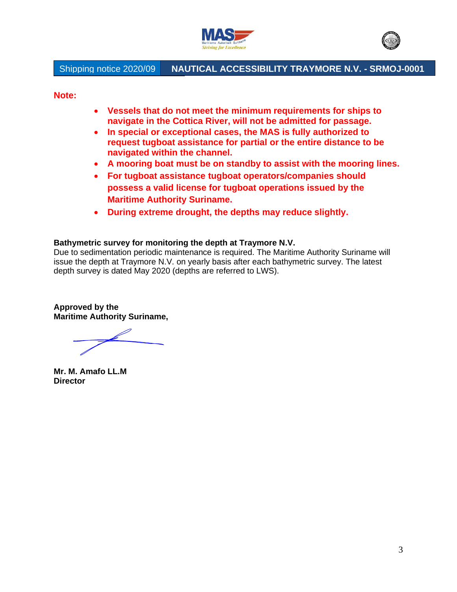



**Note:** 

- **Vessels that do not meet the minimum requirements for ships to navigate in the Cottica River, will not be admitted for passage.**
- **In special or exceptional cases, the MAS is fully authorized to request tugboat assistance for partial or the entire distance to be navigated within the channel.**
- **A mooring boat must be on standby to assist with the mooring lines.**
- **For tugboat assistance tugboat operators/companies should possess a valid license for tugboat operations issued by the Maritime Authority Suriname.**
- **During extreme drought, the depths may reduce slightly.**

### **Bathymetric survey for monitoring the depth at Traymore N.V.**

Due to sedimentation periodic maintenance is required. The Maritime Authority Suriname will issue the depth at Traymore N.V. on yearly basis after each bathymetric survey. The latest depth survey is dated May 2020 (depths are referred to LWS).

**Approved by the Maritime Authority Suriname,**

**Mr. M. Amafo LL.M Director**